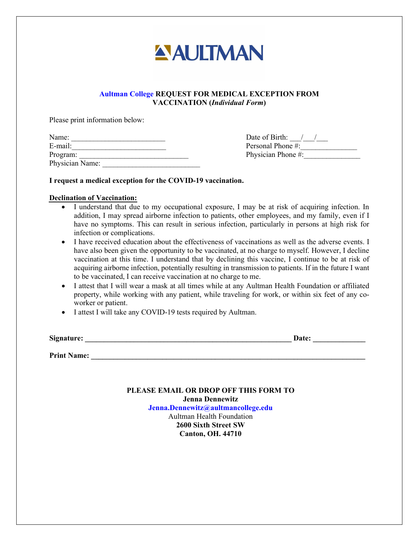

# VACCINATION (Individual Form)

Please print information below:

| Name:           | Date of Birth:     |
|-----------------|--------------------|
| E-mail:         | Personal Phone #:  |
| Program:        | Physician Phone #: |
| Physician Name: |                    |

## I request a medical exception for the COVID-19 vaccination.

### Declination of Vaccination:

- I understand that due to my occupational exposure, I may be at risk of acquiring infection. In have no symptoms. This can result in serious infection, particularly in persons at high risk for I understand that due to my occupational exposure, I may be at risk of acquiring infection. In addition, I may spread airborne infection to patients, other employees, and my family, even if I have no symptoms. This can res addition, I may spread airborne infection to patients, other employees, and my family, even if I infection or complications.
- have also been given the opportunity to be vaccinated, at no charge to myself. However, I decline vaccination at this time. I understand that by declining this vaccine, I continue to be at risk of acquiring airborne infection, potentially resulting in transmission to patients. If in the future I want to be vaccinated, I can receive vaccination at no charge to me. I have also been given the opportunity to be vaccinated, at no charge to myself. However, I decline vaccination at this time. I understand that by declining this vaccine, I continue to be at risk of acquiring airborne infe **Aultman College REQUEST FOR MEDICAL EXCEPTION FROM**<br> **VACCINATION (Individual Form)**<br>
The constant of the constant of the of Birth: and the of Birth:<br>
The of Birth: and the expected exception for the COVID-19 vaccination.
- property, while working with any patient, while traveling for work, or within six feet of any coworker or patient.
- I attest I will take any COVID-19 tests required by Aultman.

| Signature:         | Date: |
|--------------------|-------|
|                    |       |
| <b>Print Name:</b> |       |

PLEASE **EMAIL OR DROP OFF** THIS FORM **TO Jenna Dennewitz Jenna.Dennewitz[@aultmancollege.edu](mailto:keri.heppe@aultmancollege.edu)** Aultman Health Foundation 2600 Sixth Street SW Canton, OH. 44710